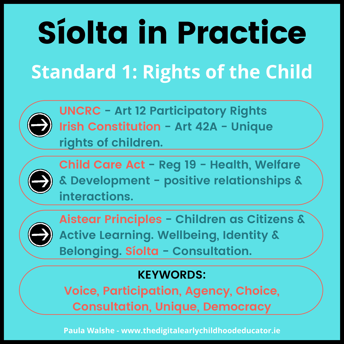**Standard 1: Rights of the Child**



**UNCRC - Art 12 Participatory Rights Irish Constitution - Art 42A - Unique rights of children.**



**Child Care Act - Reg 19 - Health, Welfare & Development - positive relationships & interactions.**



**Aistear Principles - Children as Citizens & Active Learning. Wellbeing, Identity & Belonging. Síolta - Consultation.**

#### **KEYWORDS:**

**Voice, Participation, Agency, Choice, Consultation, Unique, Democracy**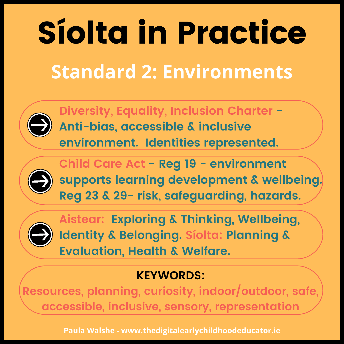### **Standard 2: Environments**



**Diversity, Equality, Inclusion Charter - Anti-bias, accessible & inclusive environment. Identities represented.**



**Child Care Act - Reg 19 - environment supports learning development & wellbeing. Reg 23 & 29- risk, safeguarding, hazards.**



**Aistear: Exploring & Thinking, Wellbeing, Identity & Belonging. Síolta: Planning & Evaluation, Health & Welfare.**

#### **KEYWORDS:**

**Resources, planning, curiosity, indoor/outdoor, safe, accessible, inclusive, sensory, representation**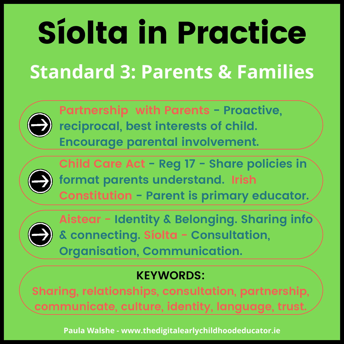### **Standard 3: Parents & Families**



**Partnership with Parents - Proactive, reciprocal, best interests of child. Encourage parental involvement.**



**Child Care Act - Reg 17 - Share policies in format parents understand. Irish Constitution - Parent is primary educator.**



**Aistear - Identity & Belonging. Sharing info & connecting. Síolta - Consultation, Organisation, Communication.**

#### **KEYWORDS:**

**Sharing, relationships, consultation, partnership, communicate, culture, identity, language, trust.**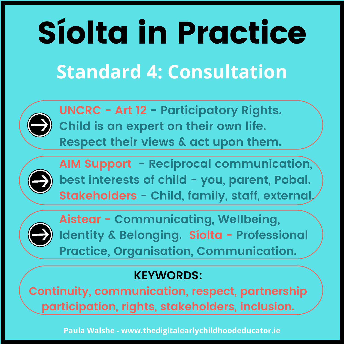### **Standard 4: Consultation**



**UNCRC - Art 12 - Participatory Rights. Child is an expert on their own life. Respect their views & act upon them.**



**AIM Support - Reciprocal communication, best interests of child - you, parent, Pobal. Stakeholders - Child, family, staff, external.**



**Aistear - Communicating, Wellbeing, Identity & Belonging. Síolta - Professional Practice, Organisation, Communication.**

#### **KEYWORDS:**

**Continuity, communication, respect, partnership participation, rights, stakeholders, inclusion.**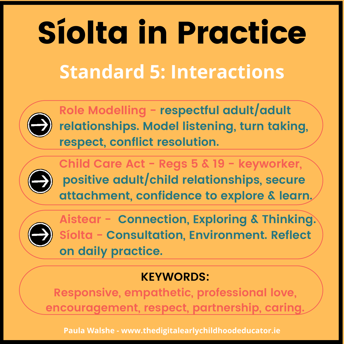### **Standard 5: Interactions**



**Role Modelling - respectful adult/adult relationships. Model listening, turn taking, respect, conflict resolution.**



**Child Care Act - Regs 5 & 19 - keyworker, positive adult/child relationships, secure attachment, confidence to explore & learn.**



**Aistear - Connection, Exploring & Thinking. Síolta - Consultation, Environment. Reflect on daily practice.**

#### **KEYWORDS:**

**Responsive, empathetic, professional love, encouragement, respect, partnership, caring.**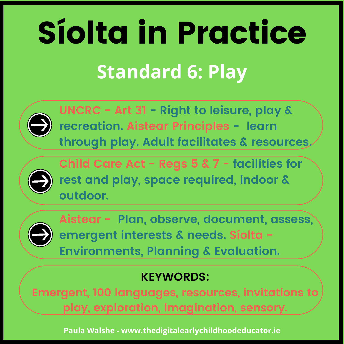## Síolta in Practice **Standard 6: Play**



**UNCRC - Art 31 - Right to leisure, play & recreation. Aistear Principles - learn through play. Adult facilitates & resources.**



**Child Care Act - Regs 5 & 7 - facilities for rest and play, space required, indoor & outdoor.**



**Aistear - Plan, observe, document, assess, emergent interests & needs. Síolta - Environments, Planning & Evaluation.**

#### **KEYWORDS:**

**Emergent, 100 languages, resources, invitations to play, exploration, imagination, sensory.**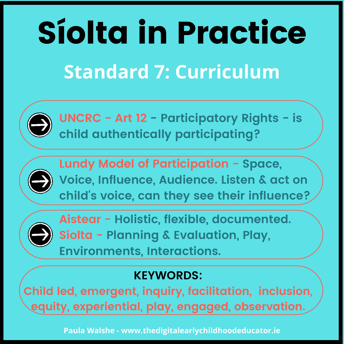## Síolta in Practice **Standard 7: Curriculum**



**UNCRC - Art 12 - Participatory Rights - is child authentically participating?**



**Lundy Model of Participation - Space, Voice, Influence, Audience. Listen & act on child' s voice, can they see their influence?**



**Aistear - Holistic, flexible, documented. Síolta - Planning & Evaluation, Play, Environments, Interactions.**

#### **KEYWORDS:**

**Child led, emergent, inquiry, facilitation, inclusion, equity, experiential, play, engaged, observation.**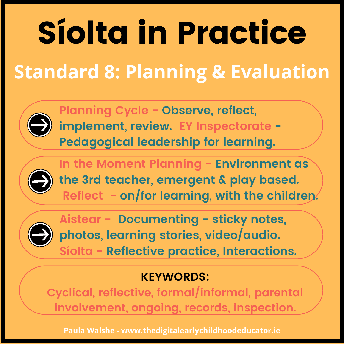### **Standard 8: Planning & Evaluation**



**Planning Cycle - Observe, reflect, implement, review. EY Inspectorate - Pedagogical leadership for learning.**



**In the Moment Planning - Environment as the 3rd teacher, emergent & play based. Reflect - on/for learning, with the children.**



**Aistear - Documenting - sticky notes, photos, learning stories, video/audio. Síolta - Reflective practice, Interactions.**

#### **KEYWORDS:**

**Cyclical, reflective, formal/informal, parental involvement, ongoing, records, inspection.**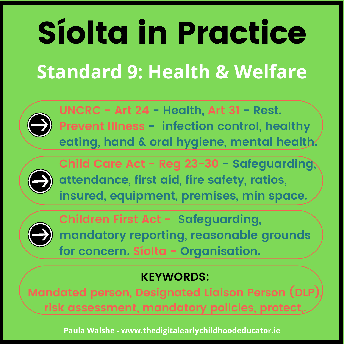### **Standard 9: Health & Welfare**



**UNCRC - Art 24 - Health, Art 31 - Rest. Prevent Illness - infection control, healthy eating, hand & oral hygiene, mental health.**



**Child Care Act - Reg 23-30 - Safeguarding, attendance, first aid, fire safety, ratios, insured, equipment, premises, min space.**



**Children First Act - Safeguarding, mandatory reporting, reasonable grounds for concern. Síolta - Organisation.**

#### **KEYWORDS:**

**Mandated person, Designated Liaison Person (DLP), risk assessment, mandatory policies, protect,.**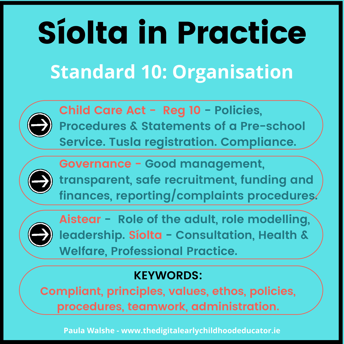### **Standard 10: Organisation**



**Child Care Act - Reg 10 - Policies, Procedures & Statements of a Pre-school Service. Tusla registration. Compliance.**



**Governance - Good management, transparent, safe recruitment, funding and finances, reporting/complaints procedures.**



**Aistear - Role of the adult, role modelling, leadership. Síolta - Consultation, Health & Welfare, Professional Practice.**

#### **KEYWORDS:**

**Compliant, principles, values, ethos, policies, procedures, teamwork, administration.**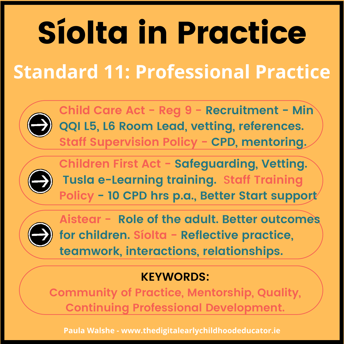### **Standard 11: Professional Practice**



**Child Care Act - Reg 9 - Recruitment - Min QQI L5, L6 Room Lead, vetting, references. Staff Supervision Policy - CPD, mentoring.**



**Children First Act - Safeguarding, Vetting. Tusla e-Learning training.** S**taff Training Policy - 10 CPD hrs p.a., Better Start support**



**Aistear - Role of the adult. Better outcomes for children. Síolta - Reflective practice, teamwork, interactions, relationships.**

#### **KEYWORDS:**

**Community of Practice, Mentorship, Quality, Continuing Professional Development.**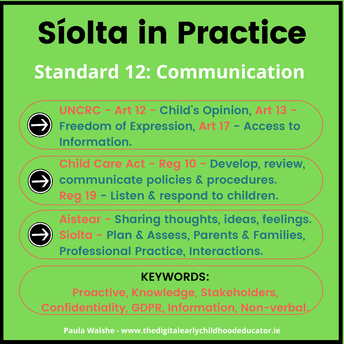### **Standard 12: Communication**



**UNCRC - Art 12 - Child' s Opinion, Art 13 - Freedom of Expression, Art 17 - Access to Information.**



**Child Care Act - Reg 10 - Develop, review, communicate policies & procedures. Reg 19 - Listen & respond to children.**



**Aistear - Sharing thoughts, ideas, feelings. Síolta - Plan & Assess, Parents & Families, Professional Practice, Interactions.**

#### **KEYWORDS:**

**Proactive, Knowledge, Stakeholders, Confidentiality, GDPR, Information, Non-verbal.**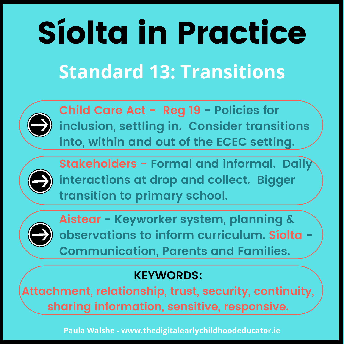### **Standard 13: Transitions**



**Child Care Act - Reg 19 - Policies for inclusion, settling in. Consider transitions into, within and out of the ECEC setting.**



**Stakeholders - Formal and informal. Daily interactions at drop and collect. Bigger transition to primary school.**



**Aistear - Keyworker system, planning & observations to inform curriculum. Síolta - Communication, Parents and Families.**

#### **KEYWORDS:**

**Attachment, relationship, trust, security, continuity, sharing information, sensitive, responsive.**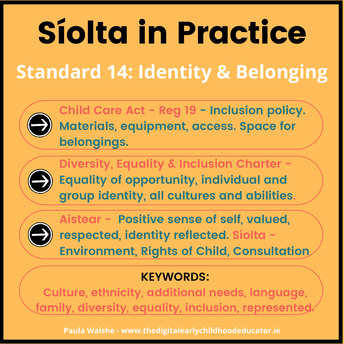### **Standard 14: Identity & Belonging**



**Child Care Act - Reg 19 - Inclusion policy. Materials, equipment, access. Space for belongings.**



**Diversity, Equality & Inclusion Charter - Equality of opportunity, individual and group identity, all cultures and abilities.**



**Aistear - Positive sense of self, valued, respected, identity reflected. Síolta - Environment, Rights of Child, Consultation**

#### **KEYWORDS:**

**Culture, ethnicity, additional needs, language, family, diversity, equality, inclusion, represented.**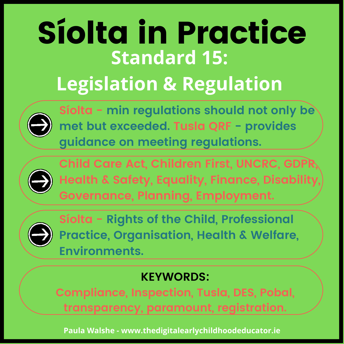### Síolta in Practice **Standard 15: Legislation & Regulation**



**Síolta - min regulations should not only be met but exceeded. Tusla QRF - provides guidance on meeting regulations.**



**Child Care Act, Children First, UNCRC, GDPR, Health & Safety, Equality, Finance, Disability, Governance, Planning, Employment.**



**Síolta - Rights of the Child, Professional Practice, Organisation, Health & Welfare, Environments.**

#### **KEYWORDS:**

**Compliance, Inspection, Tusla, DES, Pobal, transparency, paramount, registration.**